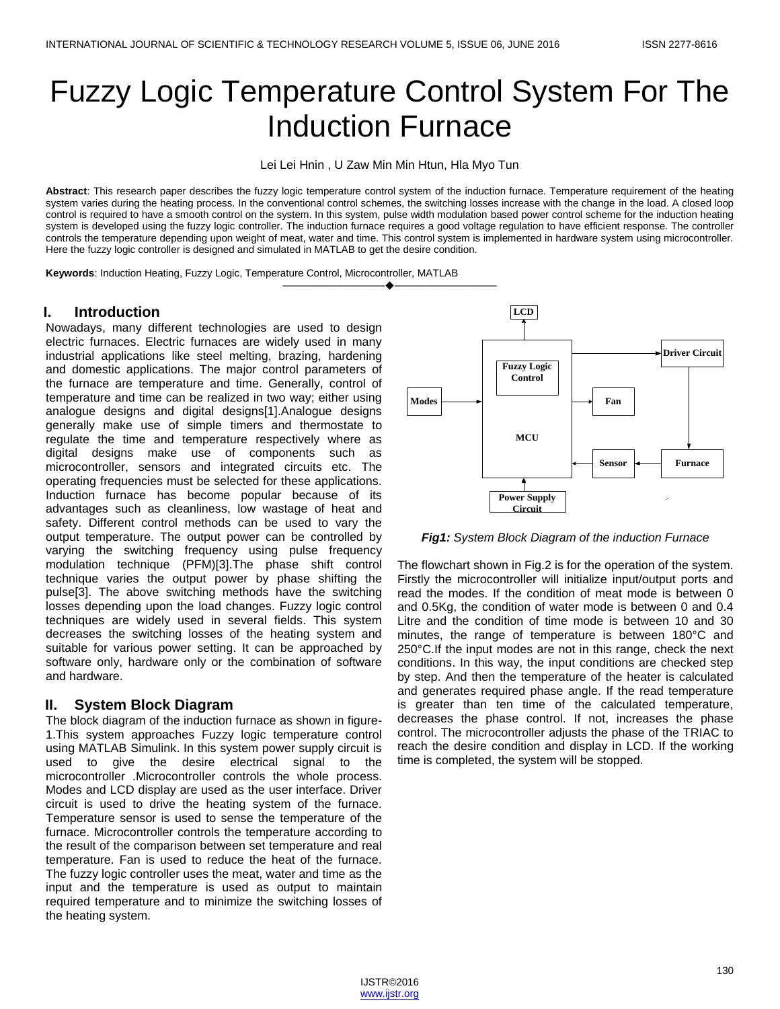# Fuzzy Logic Temperature Control System For The Induction Furnace

Lei Lei Hnin , U Zaw Min Min Htun, Hla Myo Tun

**Abstract**: This research paper describes the fuzzy logic temperature control system of the induction furnace. Temperature requirement of the heating system varies during the heating process. In the conventional control schemes, the switching losses increase with the change in the load. A closed loop control is required to have a smooth control on the system. In this system, pulse width modulation based power control scheme for the induction heating system is developed using the fuzzy logic controller. The induction furnace requires a good voltage regulation to have efficient response. The controller controls the temperature depending upon weight of meat, water and time. This control system is implemented in hardware system using microcontroller. Here the fuzzy logic controller is designed and simulated in MATLAB to get the desire condition.

**Keywords**: Induction Heating, Fuzzy Logic, Temperature Control, Microcontroller, MATLAB

#### **I. Introduction**

Nowadays, many different technologies are used to design electric furnaces. Electric furnaces are widely used in many industrial applications like steel melting, brazing, hardening and domestic applications. The major control parameters of the furnace are temperature and time. Generally, control of temperature and time can be realized in two way; either using analogue designs and digital designs[1].Analogue designs generally make use of simple timers and thermostate to regulate the time and temperature respectively where as digital designs make use of components such as microcontroller, sensors and integrated circuits etc. The operating frequencies must be selected for these applications. Induction furnace has become popular because of its advantages such as cleanliness, low wastage of heat and safety. Different control methods can be used to vary the output temperature. The output power can be controlled by varying the switching frequency using pulse frequency modulation technique (PFM)[3].The phase shift control technique varies the output power by phase shifting the pulse[3]. The above switching methods have the switching losses depending upon the load changes. Fuzzy logic control techniques are widely used in several fields. This system decreases the switching losses of the heating system and suitable for various power setting. It can be approached by software only, hardware only or the combination of software and hardware.

## **II. System Block Diagram**

The block diagram of the induction furnace as shown in figure-1.This system approaches Fuzzy logic temperature control using MATLAB Simulink. In this system power supply circuit is used to give the desire electrical signal to the microcontroller .Microcontroller controls the whole process. Modes and LCD display are used as the user interface. Driver circuit is used to drive the heating system of the furnace. Temperature sensor is used to sense the temperature of the furnace. Microcontroller controls the temperature according to the result of the comparison between set temperature and real temperature. Fan is used to reduce the heat of the furnace. The fuzzy logic controller uses the meat, water and time as the input and the temperature is used as output to maintain required temperature and to minimize the switching losses of the heating system.



*Fig1: System Block Diagram of the induction Furnace*

The flowchart shown in Fig.2 is for the operation of the system. Firstly the microcontroller will initialize input/output ports and read the modes. If the condition of meat mode is between 0 and 0.5Kg, the condition of water mode is between 0 and 0.4 Litre and the condition of time mode is between 10 and 30 minutes, the range of temperature is between 180°C and 250°C.If the input modes are not in this range, check the next conditions. In this way, the input conditions are checked step by step. And then the temperature of the heater is calculated and generates required phase angle. If the read temperature is greater than ten time of the calculated temperature, decreases the phase control. If not, increases the phase control. The microcontroller adjusts the phase of the TRIAC to reach the desire condition and display in LCD. If the working time is completed, the system will be stopped.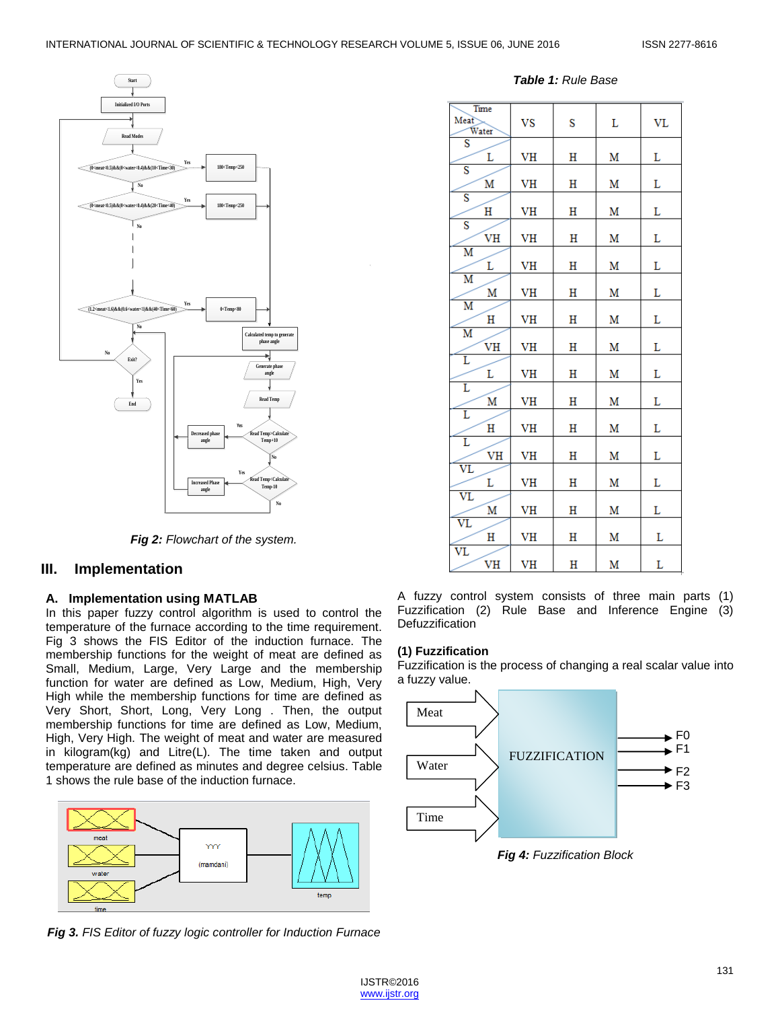

*Fig 2: Flowchart of the system.*

## **III. Implementation**

## **A. Implementation using MATLAB**

In this paper fuzzy control algorithm is used to control the temperature of the furnace according to the time requirement. Fig 3 shows the FIS Editor of the induction furnace. The membership functions for the weight of meat are defined as Small, Medium, Large, Very Large and the membership function for water are defined as Low, Medium, High, Very High while the membership functions for time are defined as Very Short, Short, Long, Very Long . Then, the output membership functions for time are defined as Low, Medium, High, Very High. The weight of meat and water are measured in kilogram(kg) and Litre(L). The time taken and output temperature are defined as minutes and degree celsius. Table 1 shows the rule base of the induction furnace.



*Fig 3. FIS Editor of fuzzy logic controller for Induction Furnace*

*Table 1: Rule Base*

| Time<br>Meat<br>Water         | VS | S | L | <b>VL</b> |
|-------------------------------|----|---|---|-----------|
| $\overline{\mathbf{s}}$<br>L  | VH | Η | M | L         |
| $\overline{\mathbf{s}}$<br>M  | VH | Η | M | L         |
| $\overline{\mathbf{s}}$<br>Η  | VH | н | M | L         |
| $\overline{\mathbf{s}}$<br>VH | VH | Η | M | L         |
| $\overline{\mathsf{M}}$<br>L  | VH | Η | M | L         |
| $\overline{\mathbf{M}}$<br>M  | VH | Η | M | L         |
| $\overline{\mathbf{M}}$<br>Η  | VH | Η | M | L         |
| $\overline{\mathbf{M}}$<br>VH | VH | Η | M | L         |
| Ľ<br>L                        | VH | н | M | L         |
| Ľ<br>Μ                        | VH | Η | M | L         |
| Ĺ<br>Η                        | VH | Η | M | L         |
| Ľ<br>VH                       | VH | Η | M | L         |
| $\overline{\text{VL}}$<br>L   | VH | Η | M | L         |
| $\overline{\text{VL}}$<br>M   | VH | Η | M | Г         |
| $\overline{\text{VL}}$<br>н   | VH | Η | M | L         |
| $\overline{\text{VL}}$<br>VH  | VH | Η | M | L         |

A fuzzy control system consists of three main parts (1) Fuzzification (2) Rule Base and Inference Engine (3) **Defuzzification** 

#### **(1) Fuzzification**

Fuzzification is the process of changing a real scalar value into a fuzzy value.



*Fig 4: Fuzzification Block*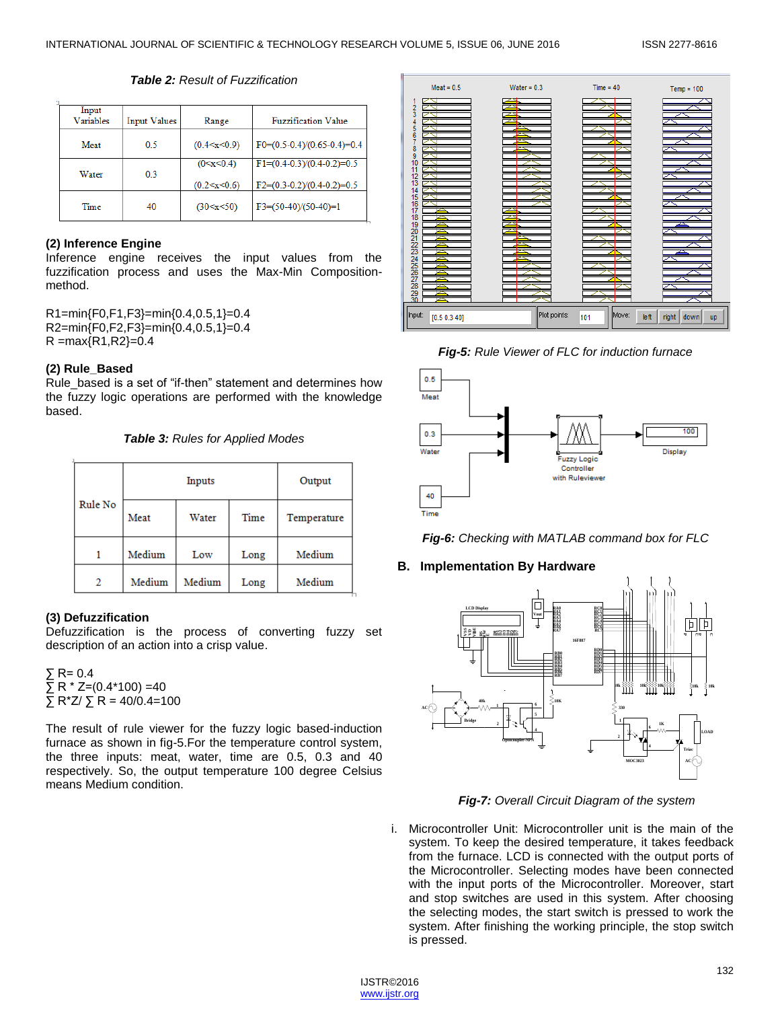#### *Table 2: Result of Fuzzification*

| Input<br>Variables | <b>Input Values</b> | Range                 | <b>Fuzzification Value</b>    |
|--------------------|---------------------|-----------------------|-------------------------------|
| Meat               | 0.5                 | (0.4 < x < 0.9)       | $F0=(0.5-0.4)/(0.65-0.4)=0.4$ |
| Water              | 03                  | (0 < x < 0.4)         | $F1=(0.4-0.3)/(0.4-0.2)=0.5$  |
|                    |                     | $(0.2 \le x \le 0.6)$ | $F2=(0.3-0.2)/(0.4-0.2)=0.5$  |
| Time               | 40                  | (30 < x < 50)         | $F3=(50-40)/(50-40)=1$        |

#### **(2) Inference Engine**

Inference engine receives the input values from the fuzzification process and uses the Max-Min Compositionmethod.

R1=min{F0,F1,F3}=min{0.4,0.5,1}=0.4 R2=min{F0,F2,F3}=min{0.4,0.5,1}=0.4  $R = max\{R1, R2\} = 0.4$ 

#### **(2) Rule\_Based**

Rule based is a set of "if-then" statement and determines how the fuzzy logic operations are performed with the knowledge based.

*Table 3: Rules for Applied Modes*

|         |        | Output |      |             |
|---------|--------|--------|------|-------------|
| Rule No | Meat   | Water  | Time | Temperature |
|         | Medium | Low    | Long | Medium      |
| 2       | Medium | Medium | Long | Medium      |

## **(3) Defuzzification**

Defuzzification is the process of converting fuzzy set description of an action into a crisp value.

∑ R= 0.4  $\Sigma$  R \* Z=(0.4\*100) =40  $\Sigma$  R<sup>\*</sup>Z/ $\Sigma$  R = 40/0.4=100

The result of rule viewer for the fuzzy logic based-induction furnace as shown in fig-5.For the temperature control system, the three inputs: meat, water, time are 0.5, 0.3 and 40 respectively. So, the output temperature 100 degree Celsius means Medium condition.



*Fig-5: Rule Viewer of FLC for induction furnace*





## **B. Implementation By Hardware**



*Fig-7: Overall Circuit Diagram of the system*

i. Microcontroller Unit: Microcontroller unit is the main of the system. To keep the desired temperature, it takes feedback from the furnace. LCD is connected with the output ports of the Microcontroller. Selecting modes have been connected with the input ports of the Microcontroller. Moreover, start and stop switches are used in this system. After choosing the selecting modes, the start switch is pressed to work the system. After finishing the working principle, the stop switch is pressed.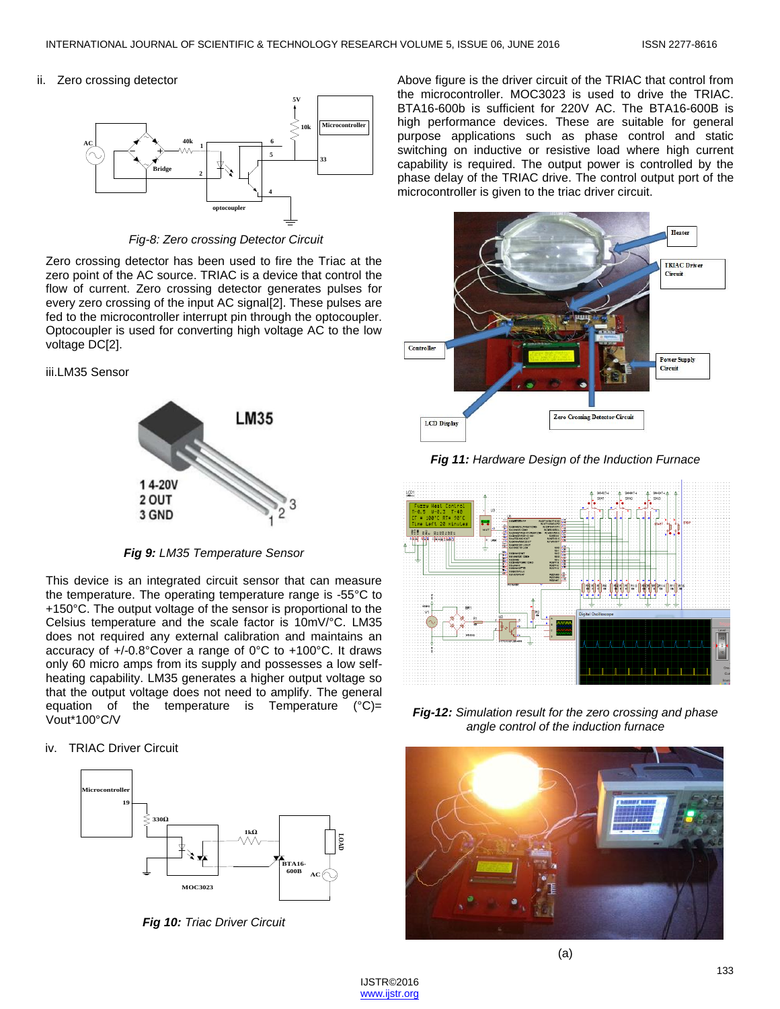ii. Zero crossing detector



*Fig-8: Zero crossing Detector Circuit*

Zero crossing detector has been used to fire the Triac at the zero point of the AC source. TRIAC is a device that control the flow of current. Zero crossing detector generates pulses for every zero crossing of the input AC signal[2]. These pulses are fed to the microcontroller interrupt pin through the optocoupler. Optocoupler is used for converting high voltage AC to the low voltage DC[2].

#### iii.LM35 Sensor



*Fig 9: LM35 Temperature Sensor*

This device is an integrated circuit sensor that can measure the temperature. The operating temperature range is -55°C to +150°C. The output voltage of the sensor is proportional to the Celsius temperature and the scale factor is 10mV/°C. LM35 does not required any external calibration and maintains an accuracy of +/-0.8°Cover a range of 0°C to +100°C. It draws only 60 micro amps from its supply and possesses a low selfheating capability. LM35 generates a higher output voltage so that the output voltage does not need to amplify. The general equation of the temperature is Temperature  $(°C)$ = Vout\*100°C/V

#### iv. TRIAC Driver Circuit



*Fig 10: Triac Driver Circuit*

Above figure is the driver circuit of the TRIAC that control from the microcontroller. MOC3023 is used to drive the TRIAC. BTA16-600b is sufficient for 220V AC. The BTA16-600B is high performance devices. These are suitable for general purpose applications such as phase control and static switching on inductive or resistive load where high current capability is required. The output power is controlled by the phase delay of the TRIAC drive. The control output port of the microcontroller is given to the triac driver circuit.



*Fig 11: Hardware Design of the Induction Furnace*



*Fig-12: Simulation result for the zero crossing and phase angle control of the induction furnace*



(a)